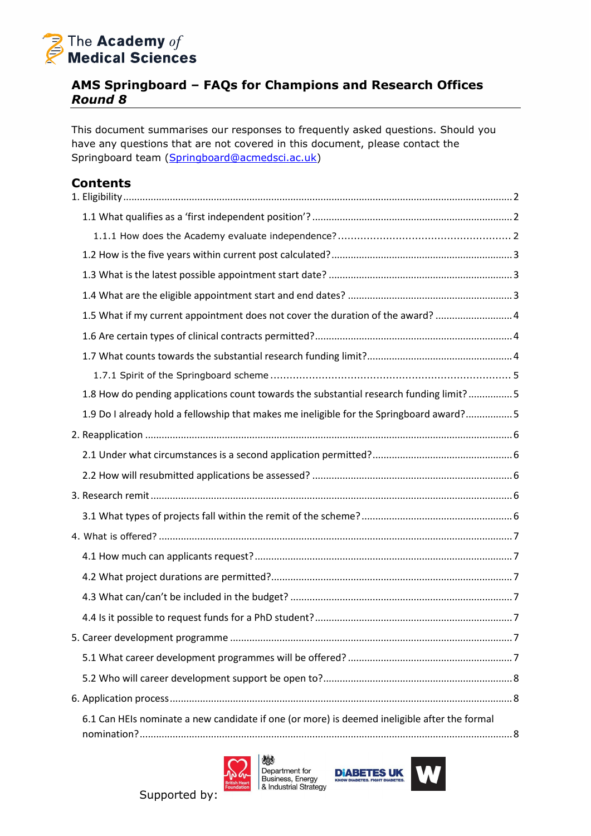

### **AMS Springboard – FAQs for Champions and Research Offices** *Round 8*

This document summarises our responses to frequently asked questions. Should you have any questions that are not covered in this document, please contact the Springboard team [\(Springboard@acmedsci.ac.uk\)](mailto:Springboard@acmedsci.ac.uk)

## **Contents**

| 1.5 What if my current appointment does not cover the duration of the award?  4              |  |
|----------------------------------------------------------------------------------------------|--|
|                                                                                              |  |
|                                                                                              |  |
|                                                                                              |  |
| 1.8 How do pending applications count towards the substantial research funding limit? 5      |  |
| 1.9 Do I already hold a fellowship that makes me ineligible for the Springboard award?5      |  |
|                                                                                              |  |
|                                                                                              |  |
|                                                                                              |  |
|                                                                                              |  |
|                                                                                              |  |
|                                                                                              |  |
|                                                                                              |  |
|                                                                                              |  |
|                                                                                              |  |
|                                                                                              |  |
|                                                                                              |  |
|                                                                                              |  |
|                                                                                              |  |
|                                                                                              |  |
| 6.1 Can HEIs nominate a new candidate if one (or more) is deemed ineligible after the formal |  |





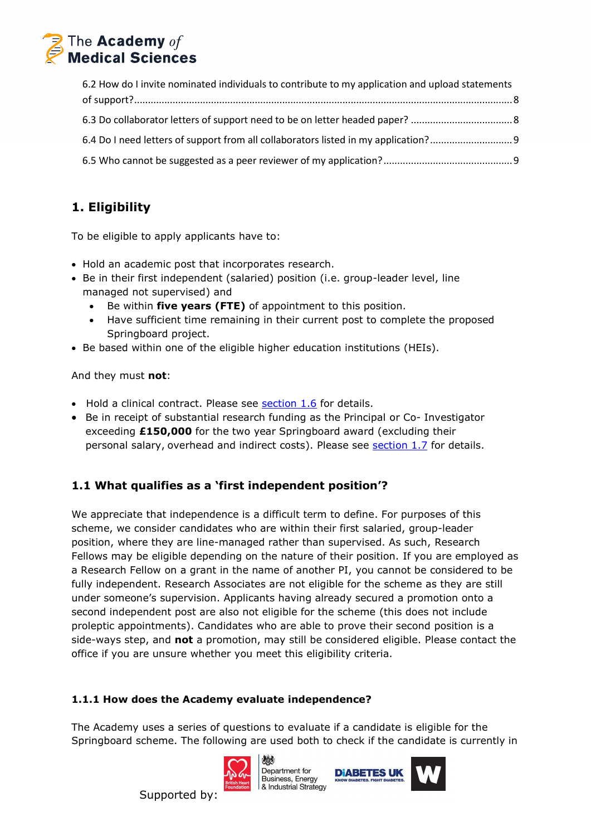

| 6.2 How do I invite nominated individuals to contribute to my application and upload statements |  |
|-------------------------------------------------------------------------------------------------|--|
|                                                                                                 |  |
|                                                                                                 |  |
| 6.4 Do I need letters of support from all collaborators listed in my application?               |  |
|                                                                                                 |  |

# <span id="page-1-0"></span>**1. Eligibility**

To be eligible to apply applicants have to:

- Hold an academic post that incorporates research.
- Be in their first independent (salaried) position (i.e. group-leader level, line managed not supervised) and
	- Be within **five years (FTE)** of appointment to this position.
	- Have sufficient time remaining in their current post to complete the proposed Springboard project.
- Be based within one of the eligible higher education institutions (HEIs).

And they must **not**:

- Hold a clinical contract. Please see [section 1.6](#page-3-1) for details.
- Be in receipt of substantial research funding as the Principal or Co- Investigator exceeding **£150,000** for the two year Springboard award (excluding their personal salary, overhead and indirect costs). Please see [section 1.7](#page-3-2) for details.

## <span id="page-1-1"></span>**1.1 What qualifies as a 'first independent position'?**

We appreciate that independence is a difficult term to define. For purposes of this scheme, we consider candidates who are within their first salaried, group-leader position, where they are line-managed rather than supervised. As such, Research Fellows may be eligible depending on the nature of their position. If you are employed as a Research Fellow on a grant in the name of another PI, you cannot be considered to be fully independent. Research Associates are not eligible for the scheme as they are still under someone's supervision. Applicants having already secured a promotion onto a second independent post are also not eligible for the scheme (this does not include proleptic appointments). Candidates who are able to prove their second position is a side-ways step, and **not** a promotion, may still be considered eligible. Please contact the office if you are unsure whether you meet this eligibility criteria.

### <span id="page-1-2"></span>**1.1.1 How does the Academy evaluate independence?**

The Academy uses a series of questions to evaluate if a candidate is eligible for the Springboard scheme. The following are used both to check if the candidate is currently in



獭 Denartment for Business, Energy & Industrial Strategy



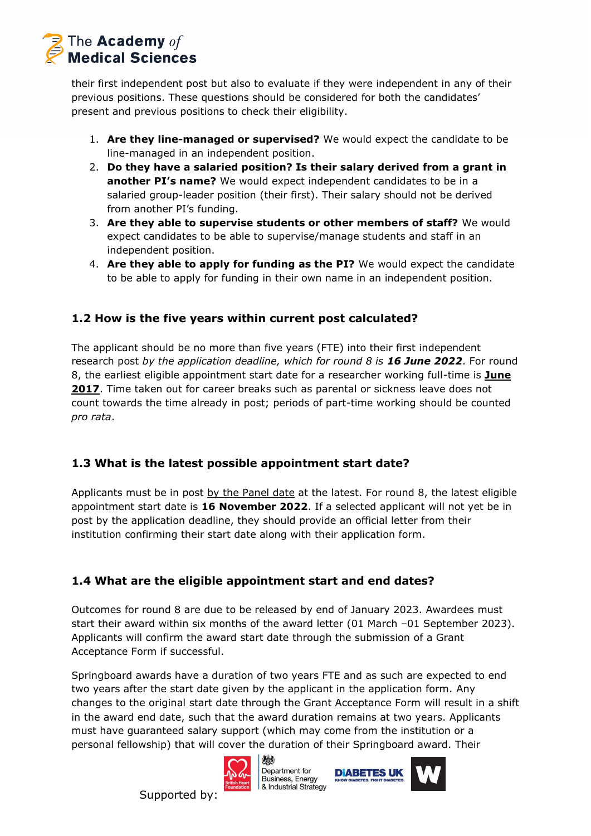

their first independent post but also to evaluate if they were independent in any of their previous positions. These questions should be considered for both the candidates' present and previous positions to check their eligibility.

- 1. **Are they line-managed or supervised?** We would expect the candidate to be line-managed in an independent position.
- 2. **Do they have a salaried position? Is their salary derived from a grant in another PI's name?** We would expect independent candidates to be in a salaried group-leader position (their first). Their salary should not be derived from another PI's funding.
- 3. **Are they able to supervise students or other members of staff?** We would expect candidates to be able to supervise/manage students and staff in an independent position.
- 4. **Are they able to apply for funding as the PI?** We would expect the candidate to be able to apply for funding in their own name in an independent position.

### <span id="page-2-0"></span>**1.2 How is the five years within current post calculated?**

The applicant should be no more than five years (FTE) into their first independent research post *by the application deadline, which for round 8 is 16 June 2022*. For round 8, the earliest eligible appointment start date for a researcher working full-time is **June 2017**. Time taken out for career breaks such as parental or sickness leave does not count towards the time already in post; periods of part-time working should be counted *pro rata*.

### <span id="page-2-1"></span>**1.3 What is the latest possible appointment start date?**

Applicants must be in post by the Panel date at the latest. For round 8, the latest eligible appointment start date is **16 November 2022**. If a selected applicant will not yet be in post by the application deadline, they should provide an official letter from their institution confirming their start date along with their application form.

### <span id="page-2-2"></span>**1.4 What are the eligible appointment start and end dates?**

Outcomes for round 8 are due to be released by end of January 2023. Awardees must start their award within six months of the award letter (01 March –01 September 2023). Applicants will confirm the award start date through the submission of a Grant Acceptance Form if successful.

Springboard awards have a duration of two years FTE and as such are expected to end two years after the start date given by the applicant in the application form. Any changes to the original start date through the Grant Acceptance Form will result in a shift in the award end date, such that the award duration remains at two years. Applicants must have guaranteed salary support (which may come from the institution or a personal fellowship) that will cover the duration of their Springboard award. Their



Supported by:

燃 Denartment for Business, Energy<br>& Industrial Strategy



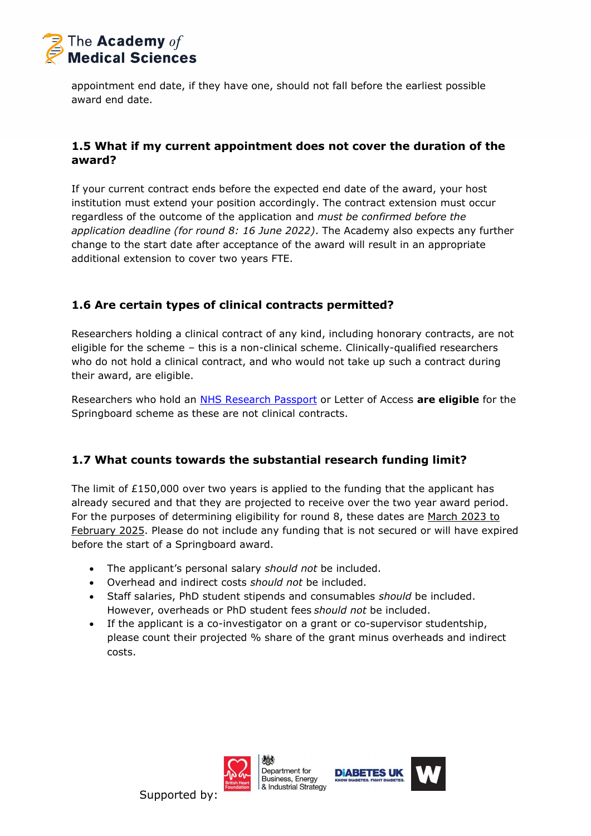

appointment end date, if they have one, should not fall before the earliest possible award end date.

### <span id="page-3-0"></span>**1.5 What if my current appointment does not cover the duration of the award?**

If your current contract ends before the expected end date of the award, your host institution must extend your position accordingly. The contract extension must occur regardless of the outcome of the application and *must be confirmed before the application deadline (for round 8: 16 June 2022)*. The Academy also expects any further change to the start date after acceptance of the award will result in an appropriate additional extension to cover two years FTE.

### <span id="page-3-1"></span>**1.6 Are certain types of clinical contracts permitted?**

Researchers holding a clinical contract of any kind, including honorary contracts, are not eligible for the scheme – this is a non-clinical scheme. Clinically-qualified researchers who do not hold a clinical contract, and who would not take up such a contract during their award, are eligible.

Researchers who hold an [NHS Research Passport](https://www.hra.nhs.uk/planning-and-improving-research/best-practice/research-passport/) or Letter of Access **are eligible** for the Springboard scheme as these are not clinical contracts.

### <span id="page-3-2"></span>**1.7 What counts towards the substantial research funding limit?**

The limit of  $£150,000$  over two years is applied to the funding that the applicant has already secured and that they are projected to receive over the two year award period. For the purposes of determining eligibility for round 8, these dates are March 2023 to February 2025. Please do not include any funding that is not secured or will have expired before the start of a Springboard award.

- The applicant's personal salary *should not* be included.
- Overhead and indirect costs *should not* be included.
- Staff salaries, PhD student stipends and consumables *should* be included. However, overheads or PhD student fees *should not* be included.
- If the applicant is a co-investigator on a grant or co-supervisor studentship, please count their projected % share of the grant minus overheads and indirect costs.



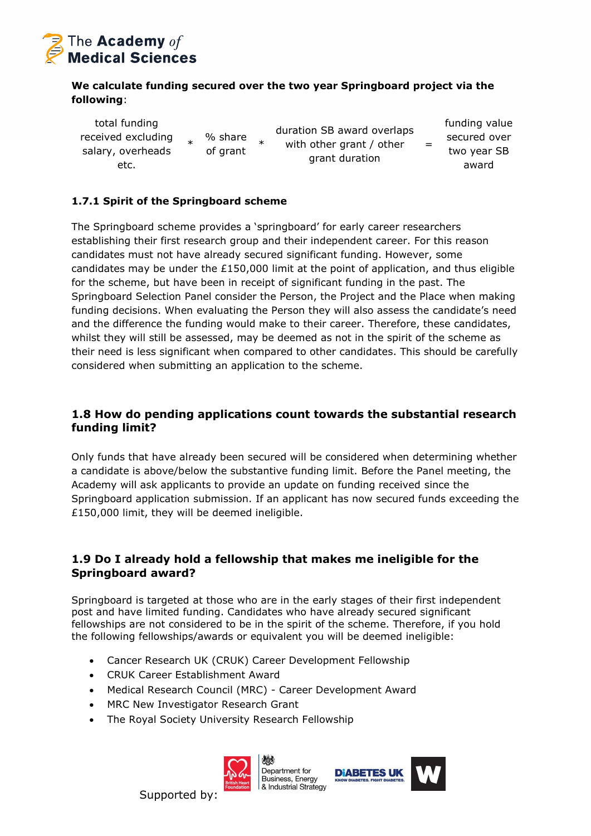

#### **We calculate funding secured over the two year Springboard project via the following**:

total funding received excluding salary, overheads etc. \*

% share of grant \* duration SB award overlaps with other grant / other grant duration

funding value secured over two year SB award

=

#### <span id="page-4-0"></span>**1.7.1 Spirit of the Springboard scheme**

The Springboard scheme provides a 'springboard' for early career researchers establishing their first research group and their independent career. For this reason candidates must not have already secured significant funding. However, some candidates may be under the £150,000 limit at the point of application, and thus eligible for the scheme, but have been in receipt of significant funding in the past. The Springboard Selection Panel consider the Person, the Project and the Place when making funding decisions. When evaluating the Person they will also assess the candidate's need and the difference the funding would make to their career. Therefore, these candidates, whilst they will still be assessed, may be deemed as not in the spirit of the scheme as their need is less significant when compared to other candidates. This should be carefully considered when submitting an application to the scheme.

#### <span id="page-4-1"></span>**1.8 How do pending applications count towards the substantial research funding limit?**

Only funds that have already been secured will be considered when determining whether a candidate is above/below the substantive funding limit. Before the Panel meeting, the Academy will ask applicants to provide an update on funding received since the Springboard application submission. If an applicant has now secured funds exceeding the £150,000 limit, they will be deemed ineligible.

### <span id="page-4-2"></span>**1.9 Do I already hold a fellowship that makes me ineligible for the Springboard award?**

Springboard is targeted at those who are in the early stages of their first independent post and have limited funding. Candidates who have already secured significant fellowships are not considered to be in the spirit of the scheme. Therefore, if you hold the following fellowships/awards or equivalent you will be deemed ineligible:

- Cancer Research UK (CRUK) Career Development Fellowship
- CRUK Career Establishment Award
- Medical Research Council (MRC) Career Development Award
- MRC New Investigator Research Grant
- The Royal Society University Research Fellowship



嫐 Denartment for Business, Energy & Industrial Strategy

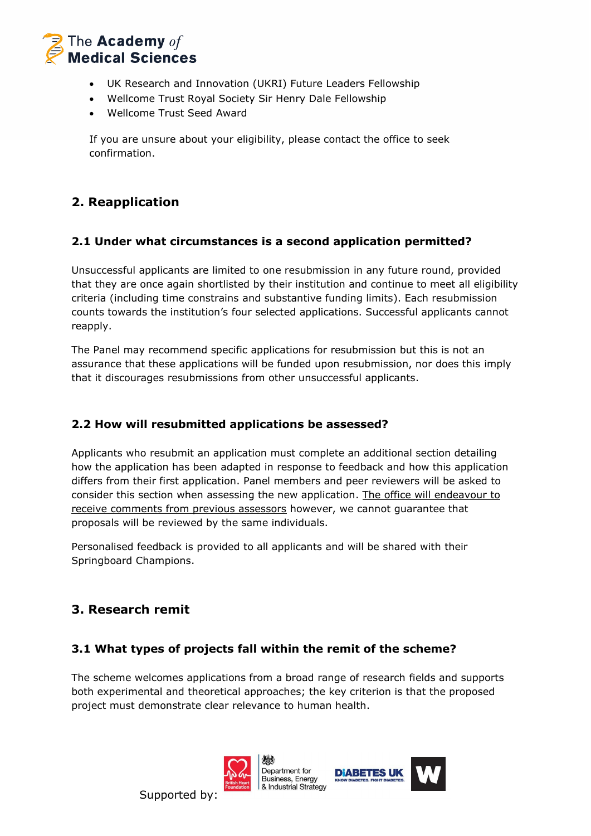

- UK Research and Innovation (UKRI) Future Leaders Fellowship
- Wellcome Trust Royal Society Sir Henry Dale Fellowship
- Wellcome Trust Seed Award

If you are unsure about your eligibility, please contact the office to seek confirmation.

## <span id="page-5-0"></span>**2. Reapplication**

### <span id="page-5-1"></span>**2.1 Under what circumstances is a second application permitted?**

Unsuccessful applicants are limited to one resubmission in any future round, provided that they are once again shortlisted by their institution and continue to meet all eligibility criteria (including time constrains and substantive funding limits). Each resubmission counts towards the institution's four selected applications. Successful applicants cannot reapply.

The Panel may recommend specific applications for resubmission but this is not an assurance that these applications will be funded upon resubmission, nor does this imply that it discourages resubmissions from other unsuccessful applicants.

### <span id="page-5-2"></span>**2.2 How will resubmitted applications be assessed?**

Applicants who resubmit an application must complete an additional section detailing how the application has been adapted in response to feedback and how this application differs from their first application. Panel members and peer reviewers will be asked to consider this section when assessing the new application. The office will endeavour to receive comments from previous assessors however, we cannot guarantee that proposals will be reviewed by the same individuals.

Personalised feedback is provided to all applicants and will be shared with their Springboard Champions.

## <span id="page-5-3"></span>**3. Research remit**

### <span id="page-5-4"></span>**3.1 What types of projects fall within the remit of the scheme?**

The scheme welcomes applications from a broad range of research fields and supports both experimental and theoretical approaches; the key criterion is that the proposed project must demonstrate clear relevance to human health.





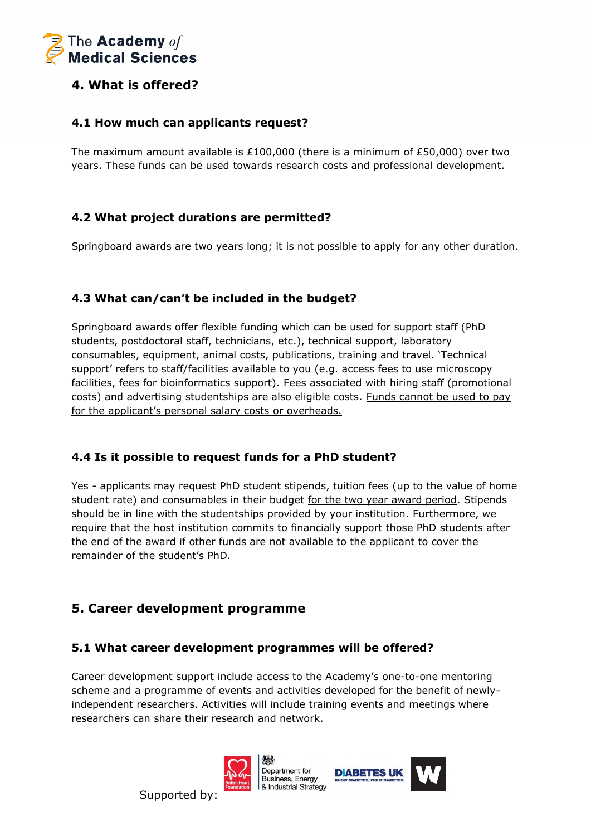

### <span id="page-6-0"></span>**4. What is offered?**

#### <span id="page-6-1"></span>**4.1 How much can applicants request?**

The maximum amount available is £100,000 (there is a minimum of £50,000) over two years. These funds can be used towards research costs and professional development.

### <span id="page-6-2"></span>**4.2 What project durations are permitted?**

Springboard awards are two years long; it is not possible to apply for any other duration.

### <span id="page-6-3"></span>**4.3 What can/can't be included in the budget?**

Springboard awards offer flexible funding which can be used for support staff (PhD students, postdoctoral staff, technicians, etc.), technical support, laboratory consumables, equipment, animal costs, publications, training and travel. 'Technical support' refers to staff/facilities available to you (e.g. access fees to use microscopy facilities, fees for bioinformatics support). Fees associated with hiring staff (promotional costs) and advertising studentships are also eligible costs. Funds cannot be used to pay for the applicant's personal salary costs or overheads.

### <span id="page-6-4"></span>**4.4 Is it possible to request funds for a PhD student?**

Yes - applicants may request PhD student stipends, tuition fees (up to the value of home student rate) and consumables in their budget for the two year award period. Stipends should be in line with the studentships provided by your institution. Furthermore, we require that the host institution commits to financially support those PhD students after the end of the award if other funds are not available to the applicant to cover the remainder of the student's PhD.

## <span id="page-6-5"></span>**5. Career development programme**

### <span id="page-6-6"></span>**5.1 What career development programmes will be offered?**

Career development support include access to the Academy's one-to-one mentoring scheme and a programme of events and activities developed for the benefit of newlyindependent researchers. Activities will include training events and meetings where researchers can share their research and network.

**DIABETES UI** 

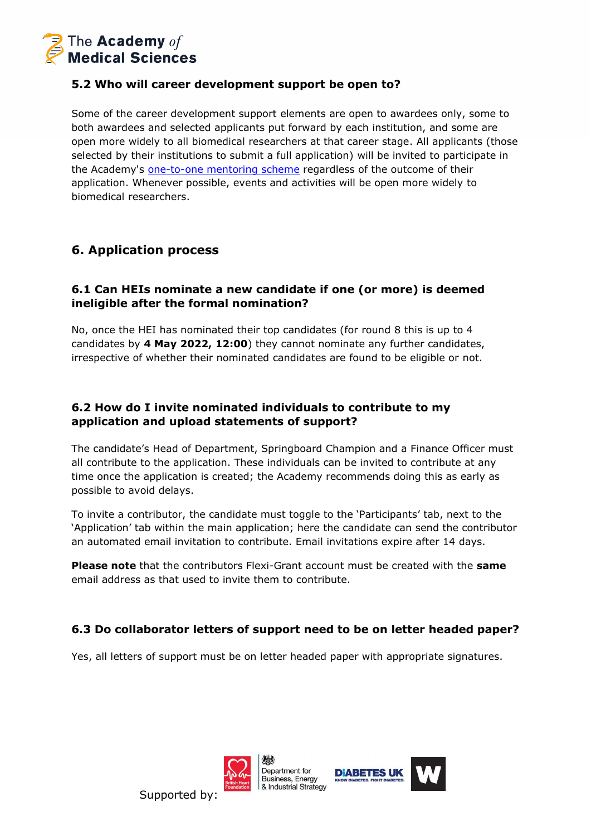

### <span id="page-7-0"></span>**5.2 Who will career development support be open to?**

Some of the career development support elements are open to awardees only, some to both awardees and selected applicants put forward by each institution, and some are open more widely to all biomedical researchers at that career stage. All applicants (those selected by their institutions to submit a full application) will be invited to participate in the Academy's [one-to-one mentoring scheme](https://acmedsci.ac.uk/grants-and-schemes/mentoring-and-other-schemes/mentoring-programme) regardless of the outcome of their application. Whenever possible, events and activities will be open more widely to biomedical researchers.

### <span id="page-7-1"></span>**6. Application process**

### <span id="page-7-2"></span>**6.1 Can HEIs nominate a new candidate if one (or more) is deemed ineligible after the formal nomination?**

No, once the HEI has nominated their top candidates (for round 8 this is up to 4 candidates by **4 May 2022, 12:00**) they cannot nominate any further candidates, irrespective of whether their nominated candidates are found to be eligible or not.

### <span id="page-7-3"></span>**6.2 How do I invite nominated individuals to contribute to my application and upload statements of support?**

The candidate's Head of Department, Springboard Champion and a Finance Officer must all contribute to the application. These individuals can be invited to contribute at any time once the application is created; the Academy recommends doing this as early as possible to avoid delays.

To invite a contributor, the candidate must toggle to the 'Participants' tab, next to the 'Application' tab within the main application; here the candidate can send the contributor an automated email invitation to contribute. Email invitations expire after 14 days.

**Please note** that the contributors Flexi-Grant account must be created with the **same** email address as that used to invite them to contribute.

### <span id="page-7-4"></span>**6.3 Do collaborator letters of support need to be on letter headed paper?**

Yes, all letters of support must be on letter headed paper with appropriate signatures.